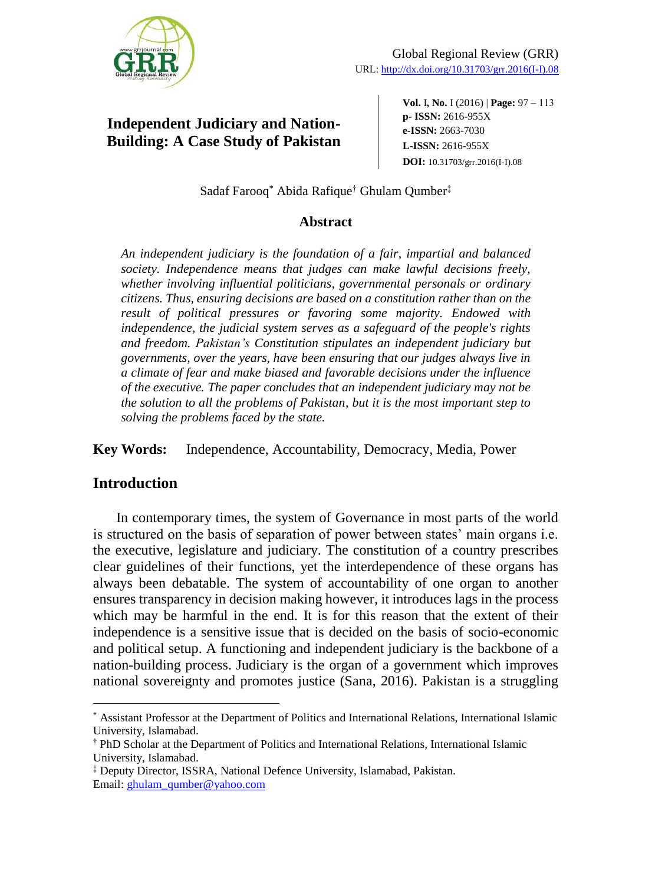

# **Independent Judiciary and Nation-Building: A Case Study of Pakistan**

**Vol. I, No. I** (2016) | **Page:**  $97 - 113$ **p- ISSN:** 2616-955X **e-ISSN:** 2663-7030 **L-ISSN:** 2616-955X **DOI:** 10.31703/grr.2016(I-I).08

Sadaf Farooq\* Abida Rafique† Ghulam Qumber‡

## **Abstract**

*An independent judiciary is the foundation of a fair, impartial and balanced society. Independence means that judges can make lawful decisions freely, whether involving influential politicians, governmental personals or ordinary citizens. Thus, ensuring decisions are based on a constitution rather than on the result of political pressures or favoring some majority. Endowed with independence, the judicial system serves as a safeguard of the people's rights and freedom. Pakistan's Constitution stipulates an independent judiciary but governments, over the years, have been ensuring that our judges always live in a climate of fear and make biased and favorable decisions under the influence of the executive. The paper concludes that an independent judiciary may not be the solution to all the problems of Pakistan, but it is the most important step to solving the problems faced by the state.*

**Key Words:** Independence, Accountability, Democracy, Media, Power

# **Introduction**

 $\overline{a}$ 

In contemporary times, the system of Governance in most parts of the world is structured on the basis of separation of power between states' main organs i.e. the executive, legislature and judiciary. The constitution of a country prescribes clear guidelines of their functions, yet the interdependence of these organs has always been debatable. The system of accountability of one organ to another ensures transparency in decision making however, it introduces lags in the process which may be harmful in the end. It is for this reason that the extent of their independence is a sensitive issue that is decided on the basis of socio-economic and political setup. A functioning and independent judiciary is the backbone of a nation-building process. Judiciary is the organ of a government which improves national sovereignty and promotes justice (Sana, 2016). Pakistan is a struggling

<sup>\*</sup> Assistant Professor at the Department of Politics and International Relations, International Islamic University, Islamabad.

<sup>†</sup> PhD Scholar at the Department of Politics and International Relations, International Islamic University, Islamabad.

<sup>‡</sup> Deputy Director, ISSRA, National Defence University, Islamabad, Pakistan. Email: [ghulam\\_qumber@yahoo.com](mailto:ghulam_qumber@yahoo.com)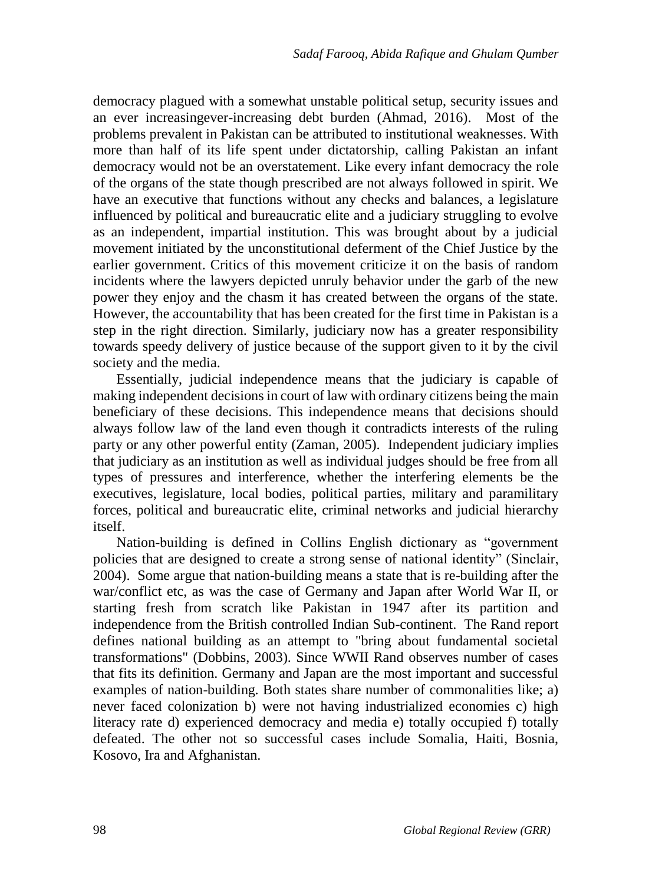democracy plagued with a somewhat unstable political setup, security issues and an ever increasingever-increasing debt burden (Ahmad, 2016). Most of the problems prevalent in Pakistan can be attributed to institutional weaknesses. With more than half of its life spent under dictatorship, calling Pakistan an infant democracy would not be an overstatement. Like every infant democracy the role of the organs of the state though prescribed are not always followed in spirit. We have an executive that functions without any checks and balances, a legislature influenced by political and bureaucratic elite and a judiciary struggling to evolve as an independent, impartial institution. This was brought about by a judicial movement initiated by the unconstitutional deferment of the Chief Justice by the earlier government. Critics of this movement criticize it on the basis of random incidents where the lawyers depicted unruly behavior under the garb of the new power they enjoy and the chasm it has created between the organs of the state. However, the accountability that has been created for the first time in Pakistan is a step in the right direction. Similarly, judiciary now has a greater responsibility towards speedy delivery of justice because of the support given to it by the civil society and the media.

Essentially, judicial independence means that the judiciary is capable of making independent decisions in court of law with ordinary citizens being the main beneficiary of these decisions. This independence means that decisions should always follow law of the land even though it contradicts interests of the ruling party or any other powerful entity (Zaman, 2005). Independent judiciary implies that judiciary as an institution as well as individual judges should be free from all types of pressures and interference, whether the interfering elements be the executives, legislature, local bodies, political parties, military and paramilitary forces, political and bureaucratic elite, criminal networks and judicial hierarchy itself.

Nation-building is defined in Collins English dictionary as "government policies that are designed to create a strong sense of national identity" (Sinclair, 2004). Some argue that nation-building means a state that is re-building after the war/conflict etc, as was the case of Germany and Japan after World War II, or starting fresh from scratch like Pakistan in 1947 after its partition and independence from the British controlled Indian Sub-continent. The Rand report defines national building as an attempt to "bring about fundamental societal transformations" (Dobbins, 2003). Since WWII Rand observes number of cases that fits its definition. Germany and Japan are the most important and successful examples of nation-building. Both states share number of commonalities like; a) never faced colonization b) were not having industrialized economies c) high literacy rate d) experienced democracy and media e) totally occupied f) totally defeated. The other not so successful cases include Somalia, Haiti, Bosnia, Kosovo, Ira and Afghanistan.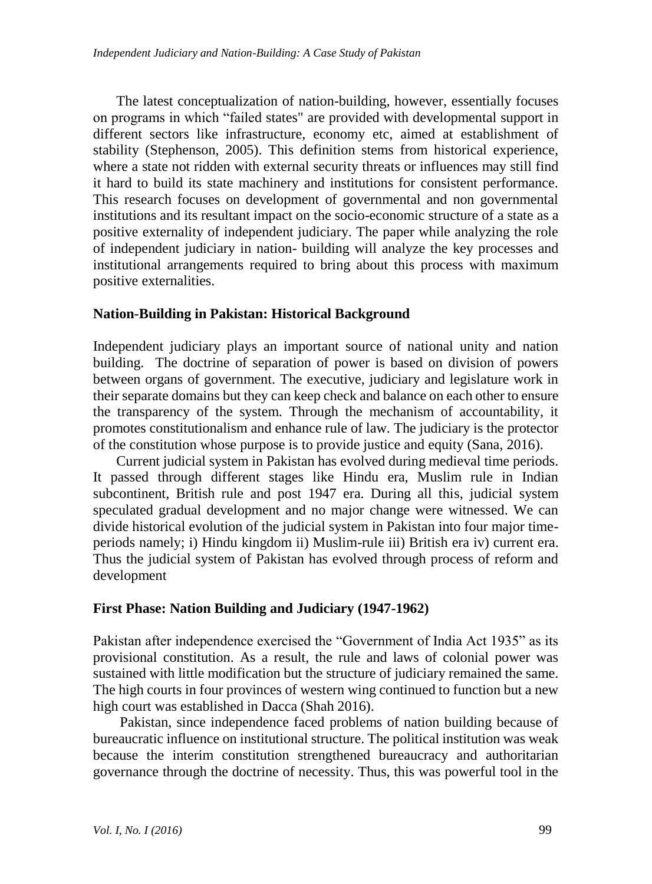The latest conceptualization of nation-building, however, essentially focuses on programs in which "failed states" are provided with developmental support in different sectors like infrastructure, economy etc, aimed at establishment of stability (Stephenson, 2005). This definition stems from historical experience, where a state not ridden with external security threats or influences may still find it hard to build its state machinery and institutions for consistent performance. This research focuses on development of governmental and non governmental institutions and its resultant impact on the socio-economic structure of a state as a positive externality of independent judiciary. The paper while analyzing the role of independent judiciary in nation- building will analyze the key processes and institutional arrangements required to bring about this process with maximum positive externalities.

#### **Nation-Building in Pakistan: Historical Background**

Independent judiciary plays an important source of national unity and nation building. The doctrine of separation of power is based on division of powers between organs of government. The executive, judiciary and legislature work in their separate domains but they can keep check and balance on each other to ensure the transparency of the system. Through the mechanism of accountability, it promotes constitutionalism and enhance rule of law. The judiciary is the protector of the constitution whose purpose is to provide justice and equity (Sana, 2016).

Current judicial system in Pakistan has evolved during medieval time periods. It passed through different stages like Hindu era, Muslim rule in Indian subcontinent, British rule and post 1947 era. During all this, judicial system speculated gradual development and no major change were witnessed. We can divide historical evolution of the judicial system in Pakistan into four major timeperiods namely; i) Hindu kingdom ii) Muslim-rule iii) British era iv) current era. Thus the judicial system of Pakistan has evolved through process of reform and development

### **First Phase: Nation Building and Judiciary (1947-1962)**

Pakistan after independence exercised the "Government of India Act 1935" as its provisional constitution. As a result, the rule and laws of colonial power was sustained with little modification but the structure of judiciary remained the same. The high courts in four provinces of western wing continued to function but a new high court was established in Dacca (Shah 2016).

Pakistan, since independence faced problems of nation building because of bureaucratic influence on institutional structure. The political institution was weak because the interim constitution strengthened bureaucracy and authoritarian governance through the doctrine of necessity. Thus, this was powerful tool in the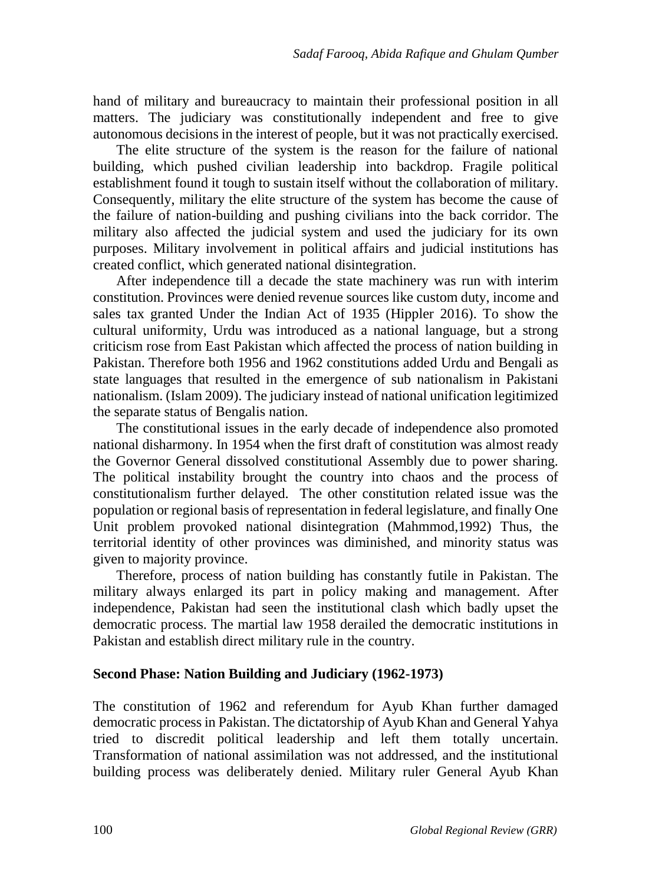hand of military and bureaucracy to maintain their professional position in all matters. The judiciary was constitutionally independent and free to give autonomous decisions in the interest of people, but it was not practically exercised.

The elite structure of the system is the reason for the failure of national building, which pushed civilian leadership into backdrop. Fragile political establishment found it tough to sustain itself without the collaboration of military. Consequently, military the elite structure of the system has become the cause of the failure of nation-building and pushing civilians into the back corridor. The military also affected the judicial system and used the judiciary for its own purposes. Military involvement in political affairs and judicial institutions has created conflict, which generated national disintegration.

After independence till a decade the state machinery was run with interim constitution. Provinces were denied revenue sources like custom duty, income and sales tax granted Under the Indian Act of 1935 (Hippler 2016). To show the cultural uniformity, Urdu was introduced as a national language, but a strong criticism rose from East Pakistan which affected the process of nation building in Pakistan. Therefore both 1956 and 1962 constitutions added Urdu and Bengali as state languages that resulted in the emergence of sub nationalism in Pakistani nationalism. (Islam 2009). The judiciary instead of national unification legitimized the separate status of Bengalis nation.

The constitutional issues in the early decade of independence also promoted national disharmony. In 1954 when the first draft of constitution was almost ready the Governor General dissolved constitutional Assembly due to power sharing. The political instability brought the country into chaos and the process of constitutionalism further delayed. The other constitution related issue was the population or regional basis of representation in federal legislature, and finally One Unit problem provoked national disintegration (Mahmmod,1992) Thus, the territorial identity of other provinces was diminished, and minority status was given to majority province.

Therefore, process of nation building has constantly futile in Pakistan. The military always enlarged its part in policy making and management. After independence, Pakistan had seen the institutional clash which badly upset the democratic process. The martial law 1958 derailed the democratic institutions in Pakistan and establish direct military rule in the country.

## **Second Phase: Nation Building and Judiciary (1962-1973)**

The constitution of 1962 and referendum for Ayub Khan further damaged democratic process in Pakistan. The dictatorship of Ayub Khan and General Yahya tried to discredit political leadership and left them totally uncertain. Transformation of national assimilation was not addressed, and the institutional building process was deliberately denied. Military ruler General Ayub Khan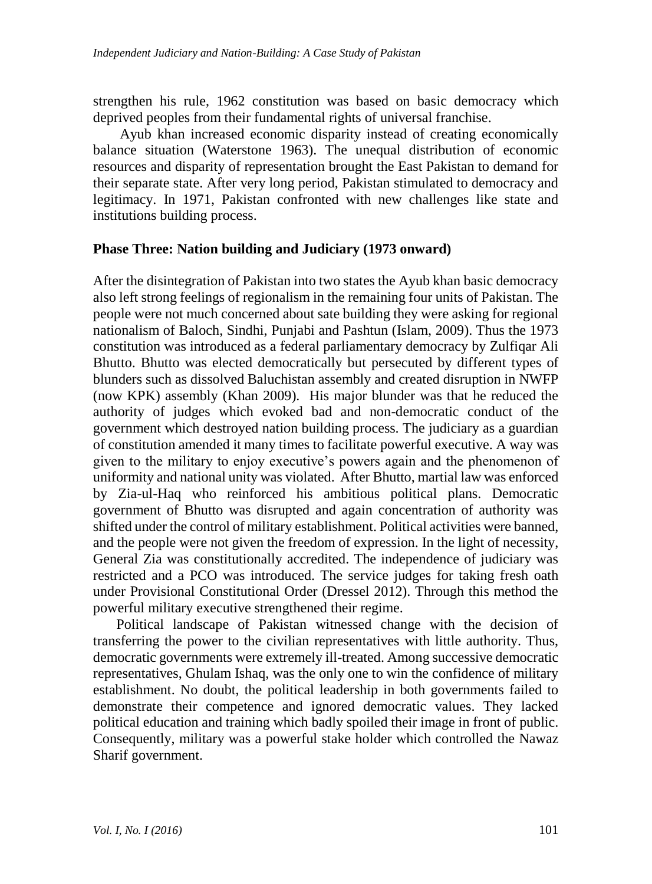strengthen his rule, 1962 constitution was based on basic democracy which deprived peoples from their fundamental rights of universal franchise.

Ayub khan increased economic disparity instead of creating economically balance situation (Waterstone 1963). The unequal distribution of economic resources and disparity of representation brought the East Pakistan to demand for their separate state. After very long period, Pakistan stimulated to democracy and legitimacy. In 1971, Pakistan confronted with new challenges like state and institutions building process.

#### **Phase Three: Nation building and Judiciary (1973 onward)**

After the disintegration of Pakistan into two states the Ayub khan basic democracy also left strong feelings of regionalism in the remaining four units of Pakistan. The people were not much concerned about sate building they were asking for regional nationalism of Baloch, Sindhi, Punjabi and Pashtun (Islam, 2009). Thus the 1973 constitution was introduced as a federal parliamentary democracy by Zulfiqar Ali Bhutto. Bhutto was elected democratically but persecuted by different types of blunders such as dissolved Baluchistan assembly and created disruption in NWFP (now KPK) assembly (Khan 2009). His major blunder was that he reduced the authority of judges which evoked bad and non-democratic conduct of the government which destroyed nation building process. The judiciary as a guardian of constitution amended it many times to facilitate powerful executive. A way was given to the military to enjoy executive's powers again and the phenomenon of uniformity and national unity was violated. After Bhutto, martial law was enforced by Zia-ul-Haq who reinforced his ambitious political plans. Democratic government of Bhutto was disrupted and again concentration of authority was shifted under the control of military establishment. Political activities were banned, and the people were not given the freedom of expression. In the light of necessity, General Zia was constitutionally accredited. The independence of judiciary was restricted and a PCO was introduced. The service judges for taking fresh oath under Provisional Constitutional Order (Dressel 2012). Through this method the powerful military executive strengthened their regime.

Political landscape of Pakistan witnessed change with the decision of transferring the power to the civilian representatives with little authority. Thus, democratic governments were extremely ill-treated. Among successive democratic representatives, Ghulam Ishaq, was the only one to win the confidence of military establishment. No doubt, the political leadership in both governments failed to demonstrate their competence and ignored democratic values. They lacked political education and training which badly spoiled their image in front of public. Consequently, military was a powerful stake holder which controlled the Nawaz Sharif government.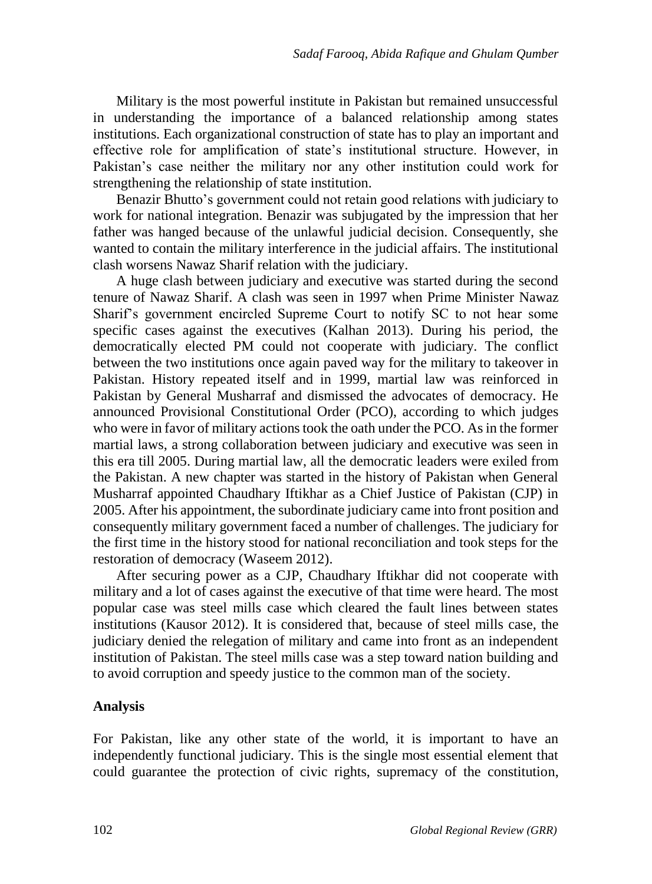Military is the most powerful institute in Pakistan but remained unsuccessful in understanding the importance of a balanced relationship among states institutions. Each organizational construction of state has to play an important and effective role for amplification of state's institutional structure. However, in Pakistan's case neither the military nor any other institution could work for strengthening the relationship of state institution.

Benazir Bhutto's government could not retain good relations with judiciary to work for national integration. Benazir was subjugated by the impression that her father was hanged because of the unlawful judicial decision. Consequently, she wanted to contain the military interference in the judicial affairs. The institutional clash worsens Nawaz Sharif relation with the judiciary.

A huge clash between judiciary and executive was started during the second tenure of Nawaz Sharif. A clash was seen in 1997 when Prime Minister Nawaz Sharif's government encircled Supreme Court to notify SC to not hear some specific cases against the executives (Kalhan 2013). During his period, the democratically elected PM could not cooperate with judiciary. The conflict between the two institutions once again paved way for the military to takeover in Pakistan. History repeated itself and in 1999, martial law was reinforced in Pakistan by General Musharraf and dismissed the advocates of democracy. He announced Provisional Constitutional Order (PCO), according to which judges who were in favor of military actions took the oath under the PCO. As in the former martial laws, a strong collaboration between judiciary and executive was seen in this era till 2005. During martial law, all the democratic leaders were exiled from the Pakistan. A new chapter was started in the history of Pakistan when General Musharraf appointed Chaudhary Iftikhar as a Chief Justice of Pakistan (CJP) in 2005. After his appointment, the subordinate judiciary came into front position and consequently military government faced a number of challenges. The judiciary for the first time in the history stood for national reconciliation and took steps for the restoration of democracy (Waseem 2012).

After securing power as a CJP, Chaudhary Iftikhar did not cooperate with military and a lot of cases against the executive of that time were heard. The most popular case was steel mills case which cleared the fault lines between states institutions (Kausor 2012). It is considered that, because of steel mills case, the judiciary denied the relegation of military and came into front as an independent institution of Pakistan. The steel mills case was a step toward nation building and to avoid corruption and speedy justice to the common man of the society.

#### **Analysis**

For Pakistan, like any other state of the world, it is important to have an independently functional judiciary. This is the single most essential element that could guarantee the protection of civic rights, supremacy of the constitution,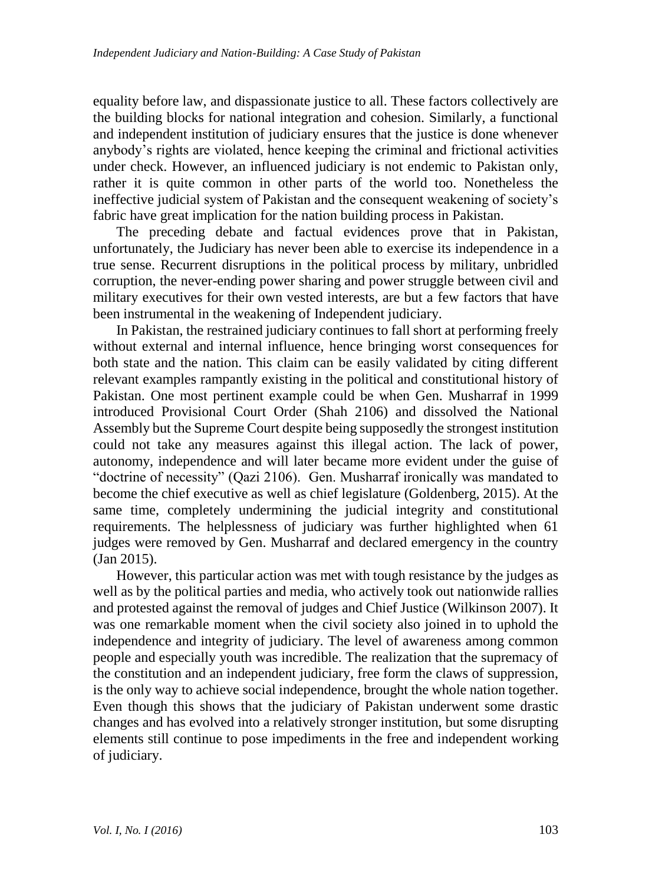equality before law, and dispassionate justice to all. These factors collectively are the building blocks for national integration and cohesion. Similarly, a functional and independent institution of judiciary ensures that the justice is done whenever anybody's rights are violated, hence keeping the criminal and frictional activities under check. However, an influenced judiciary is not endemic to Pakistan only, rather it is quite common in other parts of the world too. Nonetheless the ineffective judicial system of Pakistan and the consequent weakening of society's fabric have great implication for the nation building process in Pakistan.

The preceding debate and factual evidences prove that in Pakistan, unfortunately, the Judiciary has never been able to exercise its independence in a true sense. Recurrent disruptions in the political process by military, unbridled corruption, the never-ending power sharing and power struggle between civil and military executives for their own vested interests, are but a few factors that have been instrumental in the weakening of Independent judiciary.

In Pakistan, the restrained judiciary continues to fall short at performing freely without external and internal influence, hence bringing worst consequences for both state and the nation. This claim can be easily validated by citing different relevant examples rampantly existing in the political and constitutional history of Pakistan. One most pertinent example could be when Gen. Musharraf in 1999 introduced Provisional Court Order (Shah 2106) and dissolved the National Assembly but the Supreme Court despite being supposedly the strongest institution could not take any measures against this illegal action. The lack of power, autonomy, independence and will later became more evident under the guise of "doctrine of necessity" (Qazi 2106). Gen. Musharraf ironically was mandated to become the chief executive as well as chief legislature (Goldenberg, 2015). At the same time, completely undermining the judicial integrity and constitutional requirements. The helplessness of judiciary was further highlighted when 61 judges were removed by Gen. Musharraf and declared emergency in the country (Jan 2015).

However, this particular action was met with tough resistance by the judges as well as by the political parties and media, who actively took out nationwide rallies and protested against the removal of judges and Chief Justice (Wilkinson 2007). It was one remarkable moment when the civil society also joined in to uphold the independence and integrity of judiciary. The level of awareness among common people and especially youth was incredible. The realization that the supremacy of the constitution and an independent judiciary, free form the claws of suppression, is the only way to achieve social independence, brought the whole nation together. Even though this shows that the judiciary of Pakistan underwent some drastic changes and has evolved into a relatively stronger institution, but some disrupting elements still continue to pose impediments in the free and independent working of judiciary.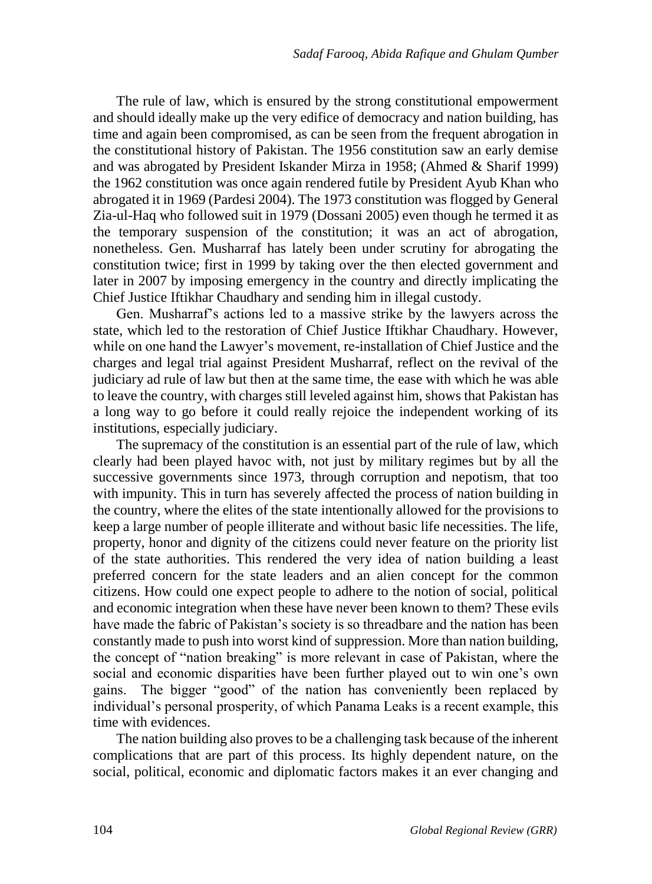The rule of law, which is ensured by the strong constitutional empowerment and should ideally make up the very edifice of democracy and nation building, has time and again been compromised, as can be seen from the frequent abrogation in the constitutional history of Pakistan. The 1956 constitution saw an early demise and was abrogated by President Iskander Mirza in 1958; (Ahmed & Sharif 1999) the 1962 constitution was once again rendered futile by President Ayub Khan who abrogated it in 1969 (Pardesi 2004). The 1973 constitution was flogged by General Zia-ul-Haq who followed suit in 1979 (Dossani 2005) even though he termed it as the temporary suspension of the constitution; it was an act of abrogation, nonetheless. Gen. Musharraf has lately been under scrutiny for abrogating the constitution twice; first in 1999 by taking over the then elected government and later in 2007 by imposing emergency in the country and directly implicating the Chief Justice Iftikhar Chaudhary and sending him in illegal custody.

Gen. Musharraf's actions led to a massive strike by the lawyers across the state, which led to the restoration of Chief Justice Iftikhar Chaudhary. However, while on one hand the Lawyer's movement, re-installation of Chief Justice and the charges and legal trial against President Musharraf, reflect on the revival of the judiciary ad rule of law but then at the same time, the ease with which he was able to leave the country, with charges still leveled against him, shows that Pakistan has a long way to go before it could really rejoice the independent working of its institutions, especially judiciary.

The supremacy of the constitution is an essential part of the rule of law, which clearly had been played havoc with, not just by military regimes but by all the successive governments since 1973, through corruption and nepotism, that too with impunity. This in turn has severely affected the process of nation building in the country, where the elites of the state intentionally allowed for the provisions to keep a large number of people illiterate and without basic life necessities. The life, property, honor and dignity of the citizens could never feature on the priority list of the state authorities. This rendered the very idea of nation building a least preferred concern for the state leaders and an alien concept for the common citizens. How could one expect people to adhere to the notion of social, political and economic integration when these have never been known to them? These evils have made the fabric of Pakistan's society is so threadbare and the nation has been constantly made to push into worst kind of suppression. More than nation building, the concept of "nation breaking" is more relevant in case of Pakistan, where the social and economic disparities have been further played out to win one's own gains. The bigger "good" of the nation has conveniently been replaced by individual's personal prosperity, of which Panama Leaks is a recent example, this time with evidences.

The nation building also proves to be a challenging task because of the inherent complications that are part of this process. Its highly dependent nature, on the social, political, economic and diplomatic factors makes it an ever changing and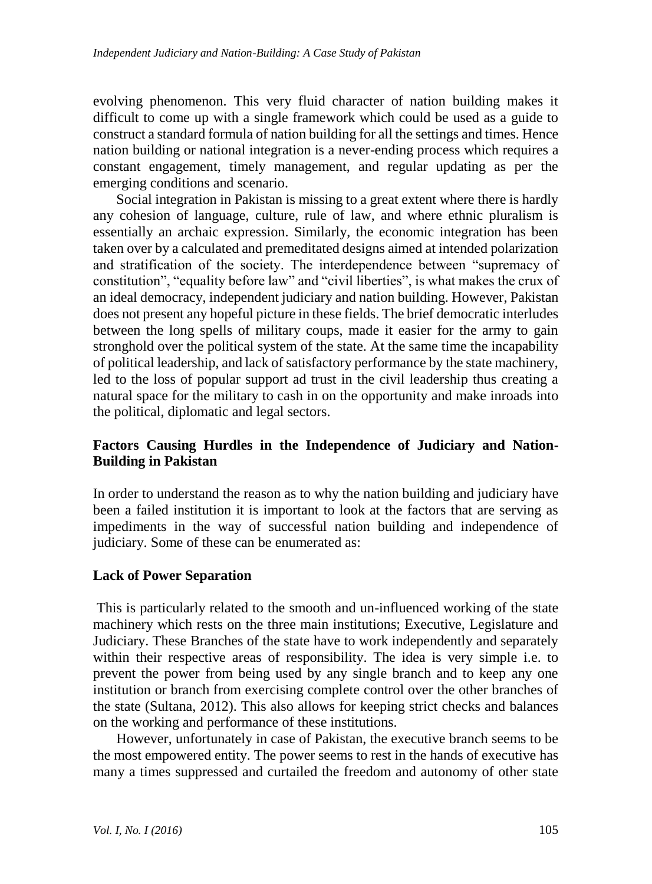evolving phenomenon. This very fluid character of nation building makes it difficult to come up with a single framework which could be used as a guide to construct a standard formula of nation building for all the settings and times. Hence nation building or national integration is a never-ending process which requires a constant engagement, timely management, and regular updating as per the emerging conditions and scenario.

Social integration in Pakistan is missing to a great extent where there is hardly any cohesion of language, culture, rule of law, and where ethnic pluralism is essentially an archaic expression. Similarly, the economic integration has been taken over by a calculated and premeditated designs aimed at intended polarization and stratification of the society. The interdependence between "supremacy of constitution", "equality before law" and "civil liberties", is what makes the crux of an ideal democracy, independent judiciary and nation building. However, Pakistan does not present any hopeful picture in these fields. The brief democratic interludes between the long spells of military coups, made it easier for the army to gain stronghold over the political system of the state. At the same time the incapability of political leadership, and lack of satisfactory performance by the state machinery, led to the loss of popular support ad trust in the civil leadership thus creating a natural space for the military to cash in on the opportunity and make inroads into the political, diplomatic and legal sectors.

## **Factors Causing Hurdles in the Independence of Judiciary and Nation-Building in Pakistan**

In order to understand the reason as to why the nation building and judiciary have been a failed institution it is important to look at the factors that are serving as impediments in the way of successful nation building and independence of judiciary. Some of these can be enumerated as:

### **Lack of Power Separation**

This is particularly related to the smooth and un-influenced working of the state machinery which rests on the three main institutions; Executive, Legislature and Judiciary. These Branches of the state have to work independently and separately within their respective areas of responsibility. The idea is very simple i.e. to prevent the power from being used by any single branch and to keep any one institution or branch from exercising complete control over the other branches of the state (Sultana, 2012). This also allows for keeping strict checks and balances on the working and performance of these institutions.

However, unfortunately in case of Pakistan, the executive branch seems to be the most empowered entity. The power seems to rest in the hands of executive has many a times suppressed and curtailed the freedom and autonomy of other state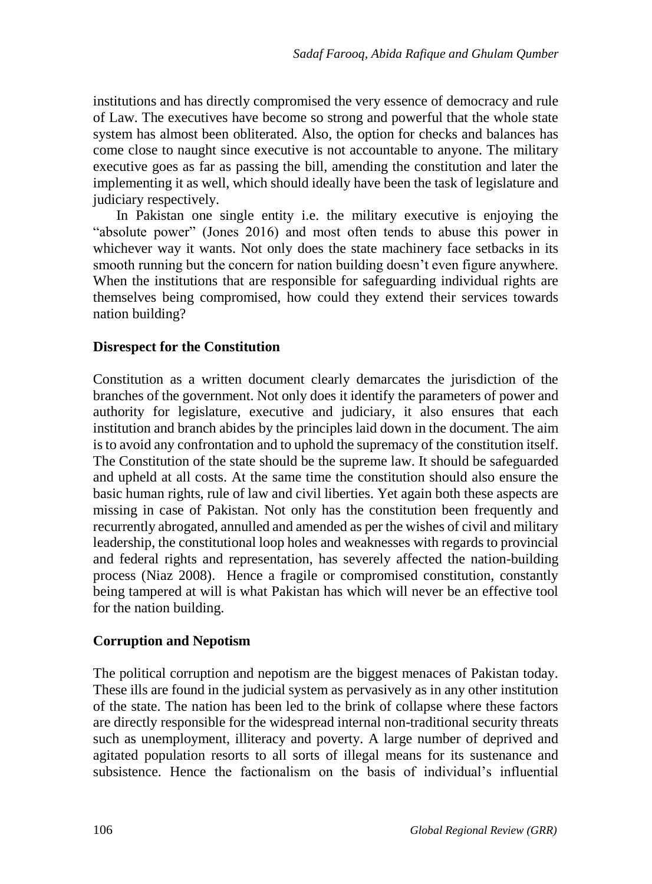institutions and has directly compromised the very essence of democracy and rule of Law. The executives have become so strong and powerful that the whole state system has almost been obliterated. Also, the option for checks and balances has come close to naught since executive is not accountable to anyone. The military executive goes as far as passing the bill, amending the constitution and later the implementing it as well, which should ideally have been the task of legislature and judiciary respectively.

In Pakistan one single entity i.e. the military executive is enjoying the "absolute power" (Jones 2016) and most often tends to abuse this power in whichever way it wants. Not only does the state machinery face setbacks in its smooth running but the concern for nation building doesn't even figure anywhere. When the institutions that are responsible for safeguarding individual rights are themselves being compromised, how could they extend their services towards nation building?

## **Disrespect for the Constitution**

Constitution as a written document clearly demarcates the jurisdiction of the branches of the government. Not only does it identify the parameters of power and authority for legislature, executive and judiciary, it also ensures that each institution and branch abides by the principles laid down in the document. The aim is to avoid any confrontation and to uphold the supremacy of the constitution itself. The Constitution of the state should be the supreme law. It should be safeguarded and upheld at all costs. At the same time the constitution should also ensure the basic human rights, rule of law and civil liberties. Yet again both these aspects are missing in case of Pakistan. Not only has the constitution been frequently and recurrently abrogated, annulled and amended as per the wishes of civil and military leadership, the constitutional loop holes and weaknesses with regards to provincial and federal rights and representation, has severely affected the nation-building process (Niaz 2008). Hence a fragile or compromised constitution, constantly being tampered at will is what Pakistan has which will never be an effective tool for the nation building.

### **Corruption and Nepotism**

The political corruption and nepotism are the biggest menaces of Pakistan today. These ills are found in the judicial system as pervasively as in any other institution of the state. The nation has been led to the brink of collapse where these factors are directly responsible for the widespread internal non-traditional security threats such as unemployment, illiteracy and poverty. A large number of deprived and agitated population resorts to all sorts of illegal means for its sustenance and subsistence. Hence the factionalism on the basis of individual's influential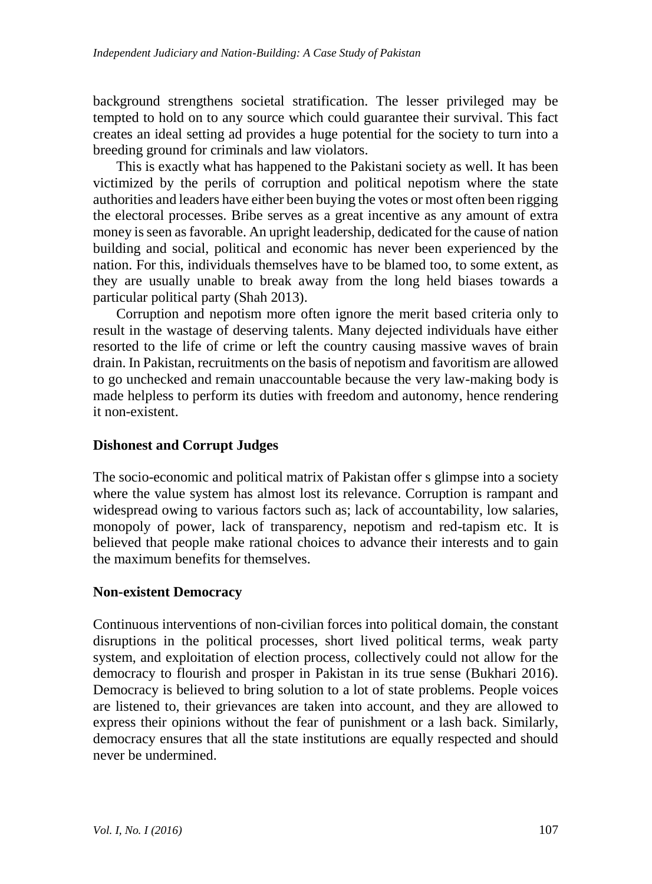background strengthens societal stratification. The lesser privileged may be tempted to hold on to any source which could guarantee their survival. This fact creates an ideal setting ad provides a huge potential for the society to turn into a breeding ground for criminals and law violators.

This is exactly what has happened to the Pakistani society as well. It has been victimized by the perils of corruption and political nepotism where the state authorities and leaders have either been buying the votes or most often been rigging the electoral processes. Bribe serves as a great incentive as any amount of extra money is seen as favorable. An upright leadership, dedicated for the cause of nation building and social, political and economic has never been experienced by the nation. For this, individuals themselves have to be blamed too, to some extent, as they are usually unable to break away from the long held biases towards a particular political party (Shah 2013).

Corruption and nepotism more often ignore the merit based criteria only to result in the wastage of deserving talents. Many dejected individuals have either resorted to the life of crime or left the country causing massive waves of brain drain. In Pakistan, recruitments on the basis of nepotism and favoritism are allowed to go unchecked and remain unaccountable because the very law-making body is made helpless to perform its duties with freedom and autonomy, hence rendering it non-existent.

### **Dishonest and Corrupt Judges**

The socio-economic and political matrix of Pakistan offer s glimpse into a society where the value system has almost lost its relevance. Corruption is rampant and widespread owing to various factors such as; lack of accountability, low salaries, monopoly of power, lack of transparency, nepotism and red-tapism etc. It is believed that people make rational choices to advance their interests and to gain the maximum benefits for themselves.

### **Non-existent Democracy**

Continuous interventions of non-civilian forces into political domain, the constant disruptions in the political processes, short lived political terms, weak party system, and exploitation of election process, collectively could not allow for the democracy to flourish and prosper in Pakistan in its true sense (Bukhari 2016). Democracy is believed to bring solution to a lot of state problems. People voices are listened to, their grievances are taken into account, and they are allowed to express their opinions without the fear of punishment or a lash back. Similarly, democracy ensures that all the state institutions are equally respected and should never be undermined.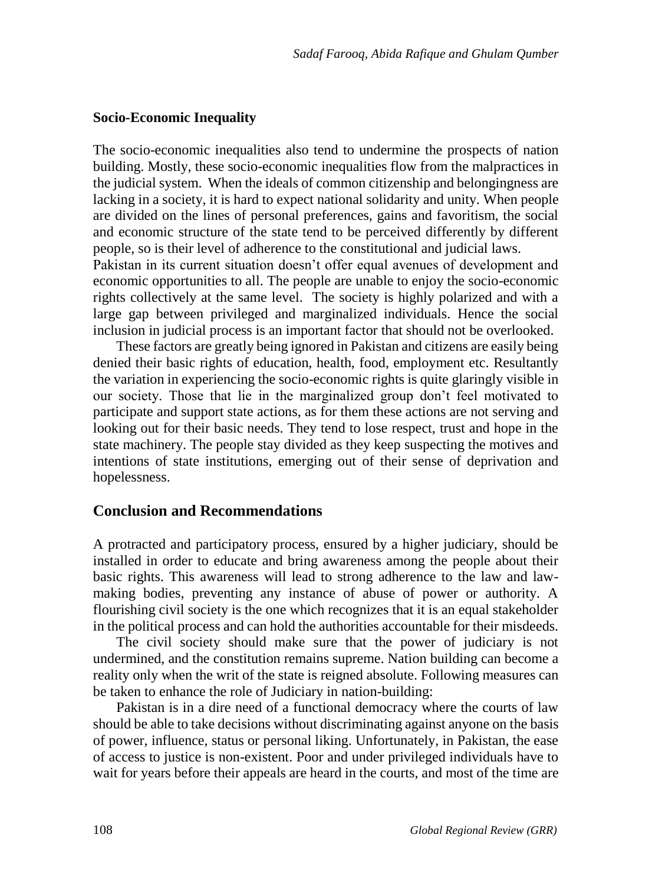#### **Socio-Economic Inequality**

The socio-economic inequalities also tend to undermine the prospects of nation building. Mostly, these socio-economic inequalities flow from the malpractices in the judicial system. When the ideals of common citizenship and belongingness are lacking in a society, it is hard to expect national solidarity and unity. When people are divided on the lines of personal preferences, gains and favoritism, the social and economic structure of the state tend to be perceived differently by different people, so is their level of adherence to the constitutional and judicial laws.

Pakistan in its current situation doesn't offer equal avenues of development and economic opportunities to all. The people are unable to enjoy the socio-economic rights collectively at the same level. The society is highly polarized and with a large gap between privileged and marginalized individuals. Hence the social inclusion in judicial process is an important factor that should not be overlooked.

These factors are greatly being ignored in Pakistan and citizens are easily being denied their basic rights of education, health, food, employment etc. Resultantly the variation in experiencing the socio-economic rights is quite glaringly visible in our society. Those that lie in the marginalized group don't feel motivated to participate and support state actions, as for them these actions are not serving and looking out for their basic needs. They tend to lose respect, trust and hope in the state machinery. The people stay divided as they keep suspecting the motives and intentions of state institutions, emerging out of their sense of deprivation and hopelessness.

#### **Conclusion and Recommendations**

A protracted and participatory process, ensured by a higher judiciary, should be installed in order to educate and bring awareness among the people about their basic rights. This awareness will lead to strong adherence to the law and lawmaking bodies, preventing any instance of abuse of power or authority. A flourishing civil society is the one which recognizes that it is an equal stakeholder in the political process and can hold the authorities accountable for their misdeeds.

The civil society should make sure that the power of judiciary is not undermined, and the constitution remains supreme. Nation building can become a reality only when the writ of the state is reigned absolute. Following measures can be taken to enhance the role of Judiciary in nation-building:

Pakistan is in a dire need of a functional democracy where the courts of law should be able to take decisions without discriminating against anyone on the basis of power, influence, status or personal liking. Unfortunately, in Pakistan, the ease of access to justice is non-existent. Poor and under privileged individuals have to wait for years before their appeals are heard in the courts, and most of the time are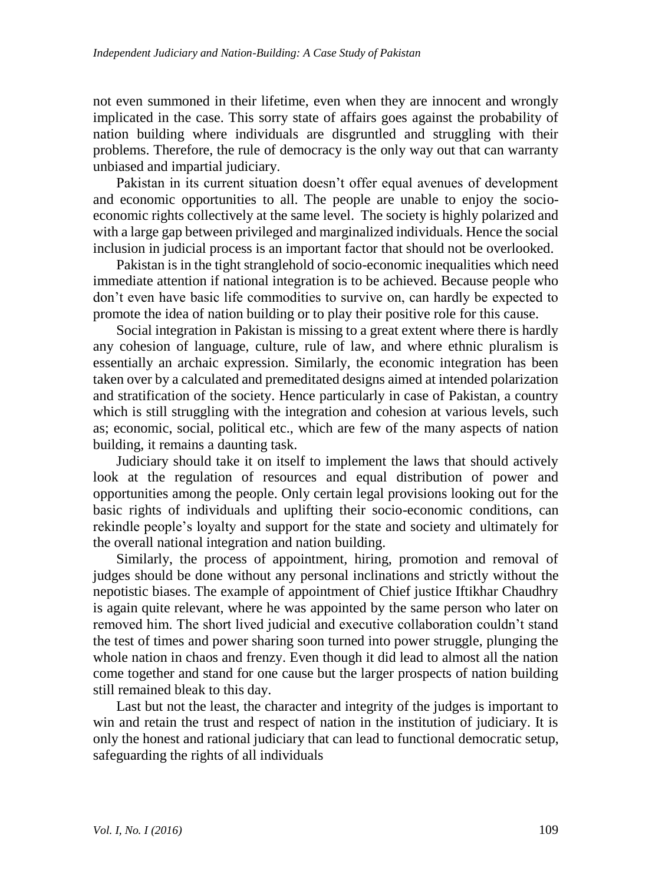not even summoned in their lifetime, even when they are innocent and wrongly implicated in the case. This sorry state of affairs goes against the probability of nation building where individuals are disgruntled and struggling with their problems. Therefore, the rule of democracy is the only way out that can warranty unbiased and impartial judiciary.

Pakistan in its current situation doesn't offer equal avenues of development and economic opportunities to all. The people are unable to enjoy the socioeconomic rights collectively at the same level. The society is highly polarized and with a large gap between privileged and marginalized individuals. Hence the social inclusion in judicial process is an important factor that should not be overlooked.

Pakistan is in the tight stranglehold of socio-economic inequalities which need immediate attention if national integration is to be achieved. Because people who don't even have basic life commodities to survive on, can hardly be expected to promote the idea of nation building or to play their positive role for this cause.

Social integration in Pakistan is missing to a great extent where there is hardly any cohesion of language, culture, rule of law, and where ethnic pluralism is essentially an archaic expression. Similarly, the economic integration has been taken over by a calculated and premeditated designs aimed at intended polarization and stratification of the society. Hence particularly in case of Pakistan, a country which is still struggling with the integration and cohesion at various levels, such as; economic, social, political etc., which are few of the many aspects of nation building, it remains a daunting task.

Judiciary should take it on itself to implement the laws that should actively look at the regulation of resources and equal distribution of power and opportunities among the people. Only certain legal provisions looking out for the basic rights of individuals and uplifting their socio-economic conditions, can rekindle people's loyalty and support for the state and society and ultimately for the overall national integration and nation building.

Similarly, the process of appointment, hiring, promotion and removal of judges should be done without any personal inclinations and strictly without the nepotistic biases. The example of appointment of Chief justice Iftikhar Chaudhry is again quite relevant, where he was appointed by the same person who later on removed him. The short lived judicial and executive collaboration couldn't stand the test of times and power sharing soon turned into power struggle, plunging the whole nation in chaos and frenzy. Even though it did lead to almost all the nation come together and stand for one cause but the larger prospects of nation building still remained bleak to this day.

Last but not the least, the character and integrity of the judges is important to win and retain the trust and respect of nation in the institution of judiciary. It is only the honest and rational judiciary that can lead to functional democratic setup, safeguarding the rights of all individuals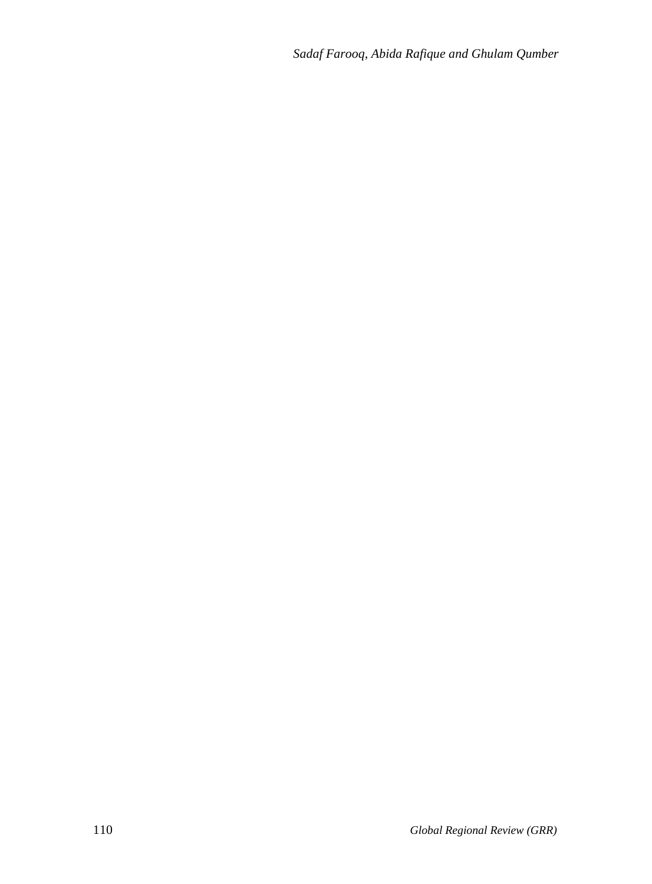*Sadaf Farooq, Abida Rafique and Ghulam Qumber*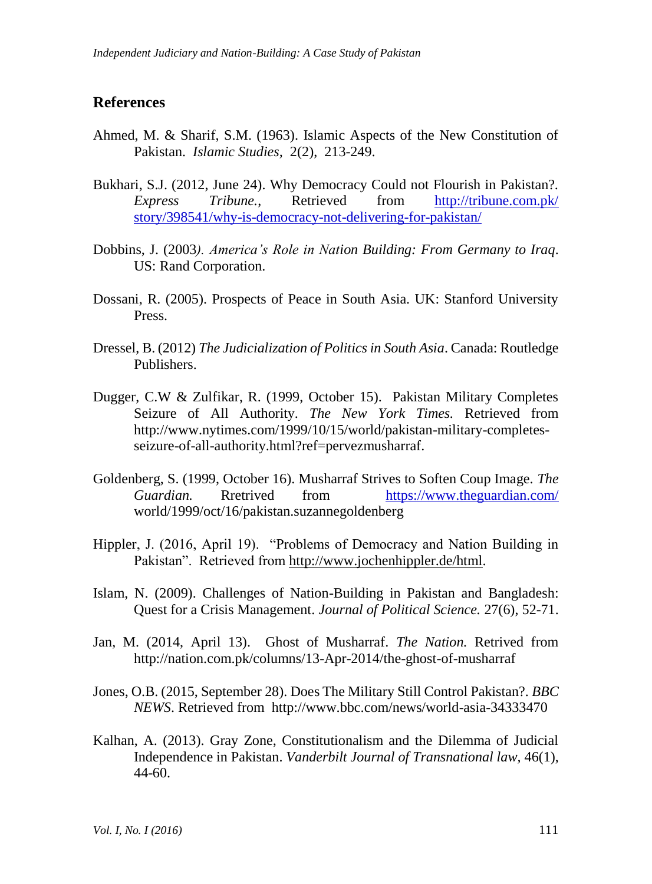# **References**

- Ahmed, M. & Sharif, S.M. (1963). Islamic Aspects of the New Constitution of Pakistan. *Islamic Studies,* 2(2), 213-249.
- Bukhari, S.J. (2012, June 24). Why Democracy Could not Flourish in Pakistan?. *Express Tribune.*, Retrieved from [http://tribune.com.pk/](http://tribune.com.pk/%20story/398541/why-is-democracy-not-delivering-for-pakistan/)  [story/398541/why-is-democracy-not-delivering-for-pakistan/](http://tribune.com.pk/%20story/398541/why-is-democracy-not-delivering-for-pakistan/)
- Dobbins, J. (2003*). America's Role in Nation Building: From Germany to Iraq*. US: Rand Corporation.
- Dossani, R. (2005). Prospects of Peace in South Asia. UK: Stanford University Press.
- Dressel, B. (2012) *The Judicialization of Politics in South Asia*. Canada: Routledge Publishers.
- Dugger, C.W & Zulfikar, R. (1999, October 15). Pakistan Military Completes Seizure of All Authority. *The New York Times.* Retrieved from http://www.nytimes.com/1999/10/15/world/pakistan-military-completesseizure-of-all-authority.html?ref=pervezmusharraf.
- Goldenberg, S. (1999, October 16). Musharraf Strives to Soften Coup Image. *The Guardian.* Rretrived from <https://www.theguardian.com/> world/1999/oct/16/pakistan.suzannegoldenberg
- Hippler, J. (2016, April 19). "Problems of Democracy and Nation Building in Pakistan". Retrieved from [http://www.jochenhippler.de/html.](http://www.jochenhippler.de/html)
- Islam, N. (2009). Challenges of Nation-Building in Pakistan and Bangladesh: Quest for a Crisis Management. *Journal of Political Science.* 27(6), 52-71.
- Jan, M. (2014, April 13). Ghost of Musharraf. *The Nation.* Retrived from http://nation.com.pk/columns/13-Apr-2014/the-ghost-of-musharraf
- Jones, O.B. (2015, September 28). Does The Military Still Control Pakistan?. *BBC NEWS*. Retrieved from http://www.bbc.com/news/world-asia-34333470
- Kalhan, A. (2013). Gray Zone, Constitutionalism and the Dilemma of Judicial Independence in Pakistan. *Vanderbilt Journal of Transnational law,* 46(1), 44-60.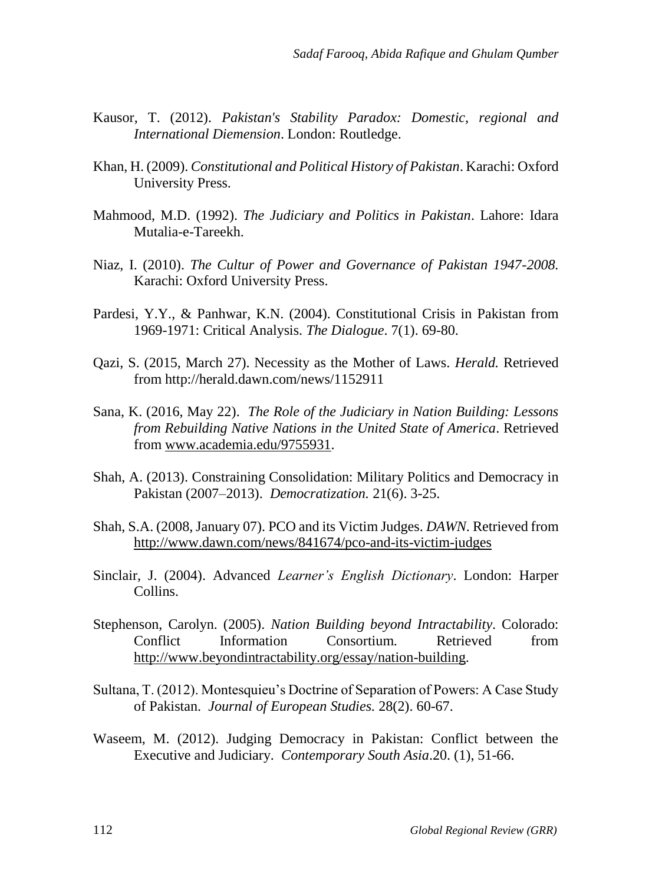- Kausor, T. (2012). *Pakistan's Stability Paradox: Domestic, regional and International Diemension*. London: Routledge.
- Khan, H. (2009). *Constitutional and Political History of Pakistan*. Karachi: Oxford University Press.
- Mahmood, M.D. (1992). *The Judiciary and Politics in Pakistan*. Lahore: Idara Mutalia-e-Tareekh.
- Niaz, I. (2010). *The Cultur of Power and Governance of Pakistan 1947-2008.*  Karachi: Oxford University Press.
- Pardesi, Y.Y., & Panhwar, K.N. (2004). Constitutional Crisis in Pakistan from 1969-1971: Critical Analysis. *The Dialogue*. 7(1). 69-80.
- Qazi, S. (2015, March 27). Necessity as the Mother of Laws. *Herald.* Retrieved from http://herald.dawn.com/news/1152911
- Sana, K. (2016, May 22). *The Role of the Judiciary in Nation Building: Lessons from Rebuilding Native Nations in the United State of America*. Retrieved fro[m www.academia.edu/9755931.](http://www.academia.edu/9755931)
- Shah, A. (2013). Constraining Consolidation: Military Politics and Democracy in Pakistan (2007–2013). *Democratization.* 21(6). 3-25.
- Shah, S.A. (2008, January 07). PCO and its Victim Judges. *DAWN*. Retrieved from <http://www.dawn.com/news/841674/pco-and-its-victim-judges>
- Sinclair, J. (2004). Advanced *Learner's English Dictionary*. London: Harper Collins.
- Stephenson, Carolyn. (2005). *Nation Building beyond Intractability*. Colorado: Conflict Information Consortium. Retrieved from [http://www.beyondintractability.org/essay/nation-building.](http://www.beyondintractability.org/essay/nation-building)
- Sultana, T. (2012). Montesquieu's Doctrine of Separation of Powers: A Case Study of Pakistan. *Journal of European Studies.* 28(2). 60-67.
- Waseem, M. (2012). Judging Democracy in Pakistan: Conflict between the Executive and Judiciary. *Contemporary South Asia*.20. (1), 51-66.